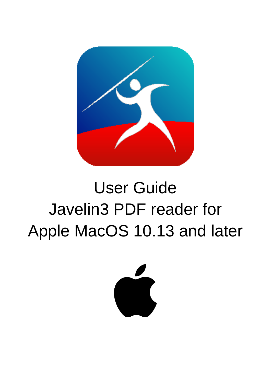

# User Guide Javelin3 PDF reader for Apple MacOS 10.13 and later

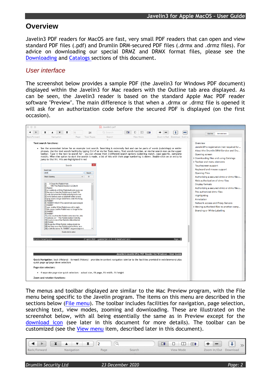# **Overview**

Javelin3 PDF readers for MacOS are fast, very small PDF readers that can open and view standard PDF files (.pdf) and Drumlin DRM-secured PDF files (.drmx and .drmz files). For advice on downloading our special DRMZ and DRMX format files, please see the [Downloading](#page-6-0) and [Catalogs](#page-7-0) sections of this document.

## *User interface*

The screenshot below provides a sample PDF (the Javelin3 for Windows PDF document) displayed within the Javelin3 for Mac readers with the Outline tab area displayed. As can be seen, the Javelin3 reader is based on the standard Apple Mac PDF reader software "Preview". The main difference is that when a .drmx or .drmz file is opened it will ask for an authorization code before the secured PDF is displayed (on the first occasion).



The menus and toolbar displayed are similar to the Mac Preview program, with the File menu being specific to the Javelin program. The items on this menu are described in the sections below [\(File menu\)](#page-4-0). The toolbar includes facilities for navigation, page selection, searching text, view modes, zooming and downloading. These are illustrated on the screenshot below, with all being essentially the same as in Preview except for the [download icon](#page-6-0) (see later in this document for more details). The toolbar can be customized (see the [View menu](#page-9-0) item, described later in this document).

| x            |            | $\sim$ |        | □‡<br>$\Box$ | ▗▝▀▔▘<br>$\overline{\phantom{a}}$ | $\alpha$ |
|--------------|------------|--------|--------|--------------|-----------------------------------|----------|
| Back/Forward | Navigation | Page   | Search | View Mode    | Zoom In/Out Download              |          |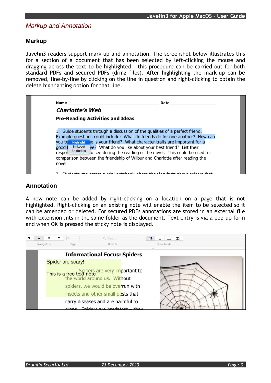## *Markup and Annotation*

#### **Markup**

Javelin3 readers support mark-up and annotation. The screenshot below illustrates this for a section of a document that has been selected by left-clicking the mouse and dragging across the text to be highlighted – this procedure can be carried out for both standard PDFs and secured PDFs (drmz files). After highlighting the mark-up can be removed, line-by-line by clicking on the line in question and right-clicking to obtain the delete highlighting option for that line.

| Name                                     | Date                                                                                                                                                                                                                                                                                                                                                                       |
|------------------------------------------|----------------------------------------------------------------------------------------------------------------------------------------------------------------------------------------------------------------------------------------------------------------------------------------------------------------------------------------------------------------------------|
| <b>Charlotte's Web</b>                   |                                                                                                                                                                                                                                                                                                                                                                            |
| <b>Pre-Reading Activities and Ideas</b>  |                                                                                                                                                                                                                                                                                                                                                                            |
| Strikeout<br>qood 1<br>resport Underline | 1. Guide students through a discussion of the qualities of a perfect friend.<br>Example questions could include: What do friends do for one another? How can<br>you te Highlight le is your friend? What character traits are important for a<br>ve? What do you like about your best friend? List their<br>to see during the reading of the novel. This could be used for |
| novel.                                   | comparison between the friendship of Wilbur and Charlotte after reading the                                                                                                                                                                                                                                                                                                |

#### **Annotation**

A new note can be added by right-clicking on a location on a page that is not highlighted. Right-clicking on an existing note will enable the item to be selected so it can be amended or deleted. For secured PDFs annotations are stored in an external file with extension .nts in the same folder as the document. Text entry is via a pop-up form and when OK is pressed the sticky note is displayed.

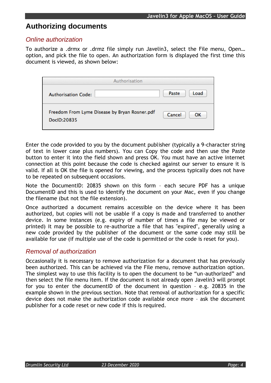# **Authorizing documents**

#### *Online authorization*

To authorize a .drmx or .drmz file simply run Javelin3, select the File menu, Open… option, and pick the file to open. An authorization form is displayed the first time this document is viewed, as shown below:

| Authorisation                                                |               |
|--------------------------------------------------------------|---------------|
| <b>Authorisation Code:</b>                                   | Load<br>Paste |
| Freedom From Lyme Disease by Bryan Rosner.pdf<br>DocID:20835 | Cancel<br>ОΚ  |

Enter the code provided to you by the document publisher (typically a 9-character string of text in lower case plus numbers). You can Copy the code and then use the Paste button to enter it into the field shown and press OK. You must have an active internet connection at this point because the code is checked against our server to ensure it is valid. If all is OK the file is opened for viewing, and the process typically does not have to be repeated on subsequent occasions.

Note the DocumentID: 20835 shown on this form – each secure PDF has a unique DocumentID and this is used to identify the document on your Mac, even if you change the filename (but not the file extension).

Once authorized a document remains accessible on the device where it has been authorized, but copies will not be usable if a copy is made and transferred to another device. In some instances (e.g. expiry of number of times a file may be viewed or printed) it may be possible to re-authorize a file that has "expired", generally using a new code provided by the publisher of the document or the same code may still be available for use (if multiple use of the code is permitted or the code is reset for you).

#### *Removal of authorization*

Occasionally it is necessary to remove authorization for a document that has previously been authorized. This can be achieved via the File menu, remove authorization option. The simplest way to use this facility is to open the document to be "un-authorized" and then select the file menu item. If the document is not already open Javelin3 will prompt for you to enter the documentID of the document in question – e.g. 20835 in the example shown in the previous section. Note that removal of authorization for a specific device does not make the authorization code available once more – ask the document publisher for a code reset or new code if this is required.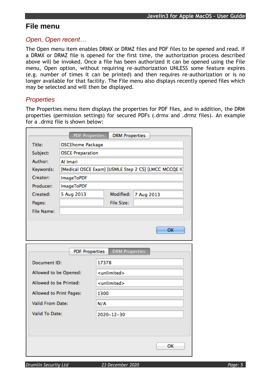# <span id="page-4-0"></span>**File menu**

#### *Open, Open recent…*

The Open menu item enables DRMX or DRMZ files and PDF files to be opened and read. If a DRMX or DRMZ file is opened for the first time, the authorization process described above will be invoked. Once a file has been authorized it can be opened using the File menu, Open option, without requiring re-authorization UNLESS some feature expires (e.g. number of times it can be printed) and then requires re-authorization or is no longer available for that facility. The File menu also displays recently opened files which may be selected and will then be displayed.

#### <span id="page-4-1"></span>*Properties*

The Properties menu item displays the properties for PDF files, and in addition, the DRM properties (permission settings) for secured PDFs (.drmx and .drmz files). An example for a .drmz file is shown below:

| Title:                                                               | <b>OSCEhome Package</b>                               |                       |                         |            |  |  |  |
|----------------------------------------------------------------------|-------------------------------------------------------|-----------------------|-------------------------|------------|--|--|--|
| Subject:                                                             | <b>OSCE Preparation</b>                               |                       |                         |            |  |  |  |
| Author:                                                              | Al Imari                                              |                       |                         |            |  |  |  |
| Keywords:                                                            | [Medical OSCE Exam] [USMLE Step 2 CS] [LMCC MCCQE II] |                       |                         |            |  |  |  |
| Creator:                                                             | <b>ImageToPDF</b>                                     |                       |                         |            |  |  |  |
| Producer:                                                            | <b>ImageToPDF</b>                                     |                       |                         |            |  |  |  |
| Created:                                                             | 5 Aug 2013                                            |                       | Modified:               | 7 Aug 2013 |  |  |  |
| Pages:                                                               |                                                       |                       | <b>File Size:</b>       |            |  |  |  |
| <b>File Name:</b>                                                    |                                                       |                       |                         |            |  |  |  |
|                                                                      |                                                       |                       |                         |            |  |  |  |
|                                                                      |                                                       | <b>PDF Properties</b> | <b>DRM Properties</b>   |            |  |  |  |
| <b>Document ID:</b>                                                  |                                                       | 17378                 |                         |            |  |  |  |
| Allowed to be Opened:                                                |                                                       |                       | <unlimited></unlimited> |            |  |  |  |
| Allowed to be Printed:                                               |                                                       |                       | <unlimited></unlimited> |            |  |  |  |
|                                                                      |                                                       | 1300                  |                         |            |  |  |  |
|                                                                      |                                                       | N/A                   |                         |            |  |  |  |
| Allowed to Print Pages:<br><b>Valid From Date:</b><br>Valid To Date: |                                                       |                       | 2020-12-30              |            |  |  |  |
|                                                                      |                                                       |                       |                         |            |  |  |  |
|                                                                      |                                                       |                       |                         |            |  |  |  |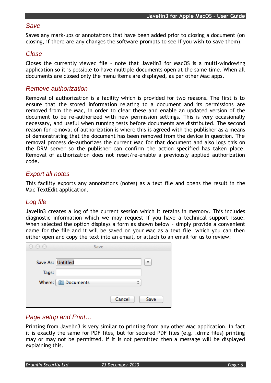#### *Save*

Saves any mark-ups or annotations that have been added prior to closing a document (on closing, if there are any changes the software prompts to see if you wish to save them).

#### *Close*

Closes the currently viewed file – note that Javelin3 for MacOS is a multi-windowing application so it is possible to have multiple documents open at the same time. When all documents are closed only the menu items are displayed, as per other Mac apps.

#### *Remove authorization*

Removal of authorization is a facility which is provided for two reasons. The first is to ensure that the stored information relating to a document and its permissions are removed from the Mac, in order to clear these and enable an updated version of the document to be re-authorized with new permission settings. This is very occasionally necessary, and useful when running tests before documents are distributed. The second reason for removal of authorization is where this is agreed with the publisher as a means of demonstrating that the document has been removed from the device in question. The removal process de-authorizes the current Mac for that document and also logs this on the DRM server so the publisher can confirm the action specified has taken place. Removal of authorization does not reset/re-enable a previously applied authorization code.

#### *Export all notes*

This facility exports any annotations (notes) as a text file and opens the result in the Mac TextEdit application.

## *Log file*

Javelin3 creates a log of the current session which it retains in memory. This includes diagnostic information which we may request if you have a technical support issue. When selected the option displays a form as shown below - simply provide a convenient name for the file and it will be saved on your Mac as a text file, which you can then either open and copy the text into an email, or attach to an email for us to review:

| $\sim$<br>$\cup$  | Save                    |
|-------------------|-------------------------|
| Save As: Untitled | $\overline{\mathbf{v}}$ |
| Tags:             |                         |
|                   | Where: Documents        |
|                   |                         |
|                   | Cancel<br>Save          |

#### *Page setup and Print…*

Printing from Javelin3 is very similar to printing from any other Mac application. In fact it is exactly the same for PDF files, but for secured PDF files (e.g. .drmz files) printing may or may not be permitted. If it is not permitted then a message will be displayed explaining this.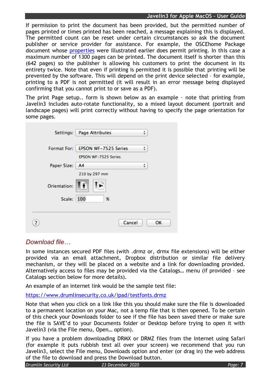#### **Javelin3 for Apple MacOS – User Guide**

If permission to print the document has been provided, but the permitted number of pages printed or times printed has been reached, a message explaining this is displayed. The permitted count can be reset under certain circumstances so ask the document publisher or service provider for assistance. For example, the OSCEhome Package document whose [properties](#page-4-1) were illustrated earlier does permit printing. In this case a maximum number of 1300 pages can be printed. The document itself is shorter than this (642 pages) so the publisher is allowing his customers to print the document in its entirety twice. Note that even if printing is permitted it is possible that printing will be prevented by the software. This will depend on the print device selected – for example, printing to a PDF is not permitted (it will result in an error message being displayed confirming that you cannot print to or save as a PDF).

The print Page setup.. form is shown below as an example – note that printing from Javelin3 includes auto-rotate functionality, so a mixed layout document (portrait and landscape pages) will print correctly without having to specify the page orientation for some pages.

| Settings:          | <b>Page Attributes</b><br>÷      |
|--------------------|----------------------------------|
|                    |                                  |
| <b>Format For:</b> | <b>EPSON WF-7525 Series</b><br>÷ |
|                    | <b>EPSON WF-7525 Series</b>      |
| Paper Size:        | ÷<br>A <sub>4</sub>              |
|                    | 210 by 297 mm                    |
| Orientation:       | ∍                                |
| Scale:             | 100<br>%                         |
|                    |                                  |
|                    | Cancel<br>OK                     |

## <span id="page-6-0"></span>*Download file…*

In some instances secured PDF files (with .drmz or, drmx file extensions) will be either provided via an email attachment, Dropbox distribution or similar file delivery mechanism, or they will be placed on a website and a link for downloading provided. Alternatively access to files may be provided via the Catalogs… menu (if provided – see Catalogs section below for more details).

An example of an internet link would be the sample test file:

<https://www.drumlinsecurity.co.uk/ipad/testfonts.drmz>

Note that when you click on a link like this you should make sure the file is downloaded to a permanent location on your Mac, not a temp file that is then opened. To be certain of this check your Downloads folder to see if the file has been saved there or make sure the file is SAVE'd to your Documents folder or Desktop before trying to open it with Javelin3 (via the File menu, Open… option).

If you have a problem downloading DRMX or DRMZ files from the Internet using Safari (for example it puts rubbish text all over your screen) we recommend that you run Javelin3, select the File menu, Downloads option and enter (or drag in) the web address of the file to download and press the Download button.

*Drumlin Security Ltd 23 December 2020 Page: 7*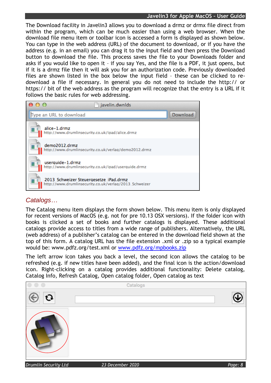#### **Javelin3 for Apple MacOS – User Guide**

The Download facility in Javelin3 allows you to download a drmz or drmx file direct from within the program, which can be much easier than using a web browser. When the download file menu item or toolbar icon is accessed a form is displayed as shown below. You can type in the web address (URL) of the document to download, or if you have the address (e.g. in an email) you can drag it to the input field and then press the Download button to download the file. This process saves the file to your Downloads folder and asks if you would like to open it – if you say Yes, and the file is a PDF, it just opens, but if it is a drmz file then it will ask you for an authorization code. Previously downloaded files are shown listed in the box below the input field – these can be clicked to redownload a file if necessary. In general you do not need to include the http:// or https:// bit of the web address as the program will recognize that the entry is a URL if it follows the basic rules for web addressing.



#### <span id="page-7-0"></span>*Catalogs…*

The Catalog menu item displays the form shown below. This menu item is only displayed for recent versions of MacOS (e.g. not for pre 10.13 OSX versions). If the folder icon with books is clicked a set of books and further catalogs is displayed. These additional catalogs provide access to titles from a wide range of publishers. Alternatively, the URL (web address) of a publisher's catalog can be entered in the download field shown at the top of this form. A catalog URL has the file extension .xml or .zip so a typical example would be: www.pdfz.org/test.xml or [www.pdfz.org/mpbooks.zip](http://www.pdfz.org/mpbooks.zip)

The left arrow icon takes you back a level, the second icon allows the catalog to be refreshed (e.g. if new titles have been added), and the final icon is the action/download icon. Right-clicking on a catalog provides additional functionality: Delete catalog, Catalog Info, Refresh Catalog, Open catalog folder, Open catalog as text

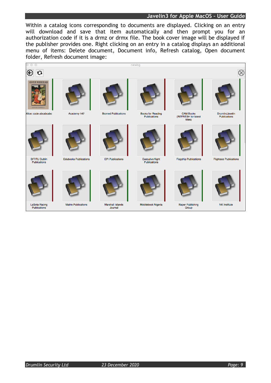#### **Javelin3 for Apple MacOS – User Guide**

Within a catalog icons corresponding to documents are displayed. Clicking on an entry will download and save that item automatically and then prompt you for an authorization code if it is a drmz or drmx file. The book cover image will be displayed if the publisher provides one. Right clicking on an entry in a catalog displays an additional menu of items: Delete document, Document info, Refresh catalog, Open document folder, Refresh document image:





Publications

Matrix Publications



Marshall Islands Journal



Mobilebook Nigeria



Naper Publishing Group

**NK** Institute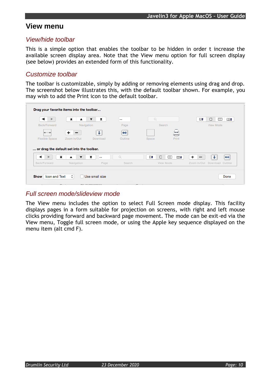# <span id="page-9-0"></span>**View menu**

#### *View/hide toolbar*

This is a simple option that enables the toolbar to be hidden in order t increase the available screen display area. Note that the View menu option for full screen display (see below) provides an extended form of this functionality.

#### *Customize toolbar*

The toolbar is customizable, simply by adding or removing elements using drag and drop. The screenshot below illustrates this, with the default toolbar shown. For example, you may wish to add the Print icon to the default toolbar.

| $\blacktriangleright$ | x                                              | I<br>▼   | $\overline{\phantom{a}}$ | Q                   |                  | Ц‡ | ◻<br>$\Box$<br>$\Box$        |
|-----------------------|------------------------------------------------|----------|--------------------------|---------------------|------------------|----|------------------------------|
| Back/Forward          | Navigation                                     |          | Page                     | Search              |                  |    | View Mode                    |
|                       | +                                              |          | ⇔                        |                     | _                |    |                              |
| <b>Flexible Space</b> | Zoom In/Out                                    | Download | Outline                  | Space               | Print            |    |                              |
|                       | or drag the default set into the toolbar.<br>x | Y<br>$-$ | Q                        | $\square$<br>$\Box$ | $\Box$<br>$\Box$ | ÷  | ⇔                            |
|                       |                                                |          |                          |                     | View Mode        |    | Zoom In/Out Download Outline |

## *Full screen mode/slideview mode*

The View menu includes the option to select Full Screen mode display. This facility displays pages in a form suitable for projection on screens, with right and left mouse clicks providing forward and backward page movement. The mode can be exit-ed via the View menu, Toggle full screen mode, or using the Apple key sequence displayed on the menu item (alt cmd F).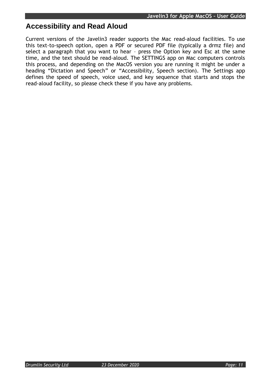# **Accessibility and Read Aloud**

Current versions of the Javelin3 reader supports the Mac read-aloud facilities. To use this text-to-speech option, open a PDF or secured PDF file (typically a drmz file) and select a paragraph that you want to hear – press the Option key and Esc at the same time, and the text should be read-aloud. The SETTINGS app on Mac computers controls this process, and depending on the MacOS version you are running it might be under a heading "Dictation and Speech" or "Accessibility, Speech section). The Settings app defines the speed of speech, voice used, and key sequence that starts and stops the read-aloud facility, so please check these if you have any problems.